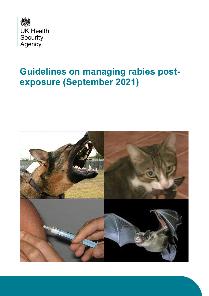

# **Guidelines on managing rabies postexposure (September 2021)**

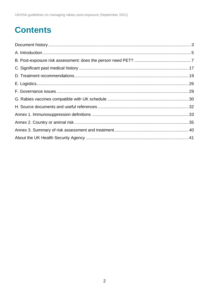# **Contents**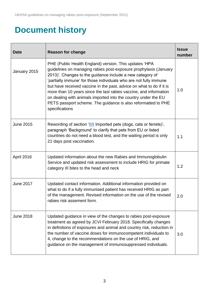## <span id="page-2-0"></span>**Document history**

| <b>Date</b>      | <b>Reason for change</b>                                                                                                                                                                                                                                                                                                                                                                                                                                                                                                                                       | <b>Issue</b><br>number |
|------------------|----------------------------------------------------------------------------------------------------------------------------------------------------------------------------------------------------------------------------------------------------------------------------------------------------------------------------------------------------------------------------------------------------------------------------------------------------------------------------------------------------------------------------------------------------------------|------------------------|
| January 2015     | PHE (Public Health England) version. This updates 'HPA<br>guidelines on managing rabies post-exposure prophylaxis (January<br>2013)'. Changes to the guidance include a new category of<br>'partially immune' for those individuals who are not fully immune<br>but have received vaccine in the past, advice on what to do if it is<br>more than 10 years since the last rabies vaccine, and information<br>on dealing with animals imported into the country under the EU<br>PETS passport scheme. The guidance is also reformatted to PHE<br>specifications | 1.0                    |
| <b>June 2015</b> | Rewording of section 'B9 Imported pets (dogs, cats or ferrets)',<br>paragraph 'Background' to clarify that pets from EU or listed<br>countries do not need a blood test, and the waiting period is only<br>21 days post vaccination.                                                                                                                                                                                                                                                                                                                           | 1.1                    |
| April 2016       | Updated information about the new Rabies and Immunoglobulin<br>Service and updated risk assessment to include HRIG for primate<br>category III bites to the head and neck                                                                                                                                                                                                                                                                                                                                                                                      | 1.2                    |
| <b>June 2017</b> | Updated contact information. Additional information provided on<br>what to do if a fully immunised patient has received HRIG as part<br>of the management. Revised information on the use of the revised<br>rabies risk assement form.                                                                                                                                                                                                                                                                                                                         | 2.0                    |
| <b>June 2018</b> | Updated guidance in view of the changes to rabies post-exposure<br>treatment as agreed by JCVI February 2018. Specifically changes<br>in definitions of exposures and animal and country risk, reduction in<br>the number of vaccine doses for immunocompetent individuals to<br>4, change to the recommendations on the use of HRIG, and<br>guidance on the management of immunosuppressed individuals.                                                                                                                                                       | 3.0                    |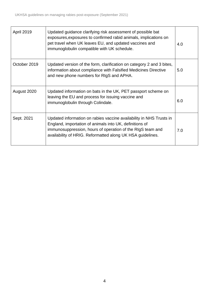| <b>April 2019</b> | Updated guidance clarifying risk assessment of possible bat<br>exposures, exposures to confirmed rabid animals, implications on<br>pet travel when UK leaves EU, and updated vaccines and<br>immunoglobulin compatible with UK schedule.                   | 4.0 |
|-------------------|------------------------------------------------------------------------------------------------------------------------------------------------------------------------------------------------------------------------------------------------------------|-----|
| October 2019      | Updated version of the form, clarification on category 2 and 3 bites,<br>information about compliance with Falsified Medicines Directive<br>and new phone numbers for RIgS and APHA.                                                                       | 5.0 |
| August 2020       | Updated information on bats in the UK, PET passport scheme on<br>leaving the EU and process for issuing vaccine and<br>immunoglobulin through Colindale.                                                                                                   | 6.0 |
| Sept. 2021        | Updated information on rabies vaccine availability in NHS Trusts in<br>England, importation of animals into UK, definitions of<br>immunosuppression, hours of operation of the RIgS team and<br>availability of HRIG. Reformatted along UK HSA guidelines. | 7.0 |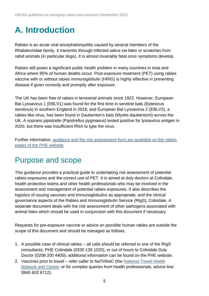# <span id="page-4-0"></span>**A. Introduction**

Rabies is an acute viral encephalomyelitis caused by several members of the Rhabdoviridae family. It transmits through infected saliva via bites or scratches from rabid animals (in particular dogs). It is almost invariably fatal once symptoms develop.

Rabies still poses a significant public health problem in many countries in Asia and Africa where 95% of human deaths occur. Post-exposure treatment (PET) using rabies vaccine with or without rabies immunoglobulin (HRIG) is highly effective in preventing disease if given correctly and promptly after exposure.

The UK has been free of rabies in terrestrial animals since 1922. However, European Bat Lyssavirus 1 (EBLV1) was found for the first time in serotine bats (Eptesicus serotinus) in southern England in 2018, and European Bat Lyssavirus 2 (EBLV2), a rabies-like virus, has been found in Daubenton's bats (Myotis daubentonii) across the UK. A soprano pipistrelle (Pipistrellus pygmaeus) tested positive for lyssavirus antigen in 2020, but there was insufficient RNA to type the virus.

Further information, [guidance and the risk assessment form are available on the rabies](https://www.gov.uk/government/collections/rabies-risk-assessment-post-exposure-treatment-management)  [pages of the PHE website.](https://www.gov.uk/government/collections/rabies-risk-assessment-post-exposure-treatment-management)

## Purpose and scope

This guidance provides a practical guide to undertaking risk assessment of potential rabies exposures and the correct use of PET. It is aimed at duty doctors at Colindale, health protection teams and other health professionals who may be involved in the assessment and management of potential rabies exposures. It also describes the logistics of issuing vaccines and immunoglobulins as appropriate, and the clinical governance aspects of the Rabies and Immunoglobulin Service (RIgS), Colindale. A separate document deals with the risk assessment of other pathogens associated with animal bites which should be used in conjunction with this document if necessary.

Requests for pre-exposure vaccine or advice on possible human rabies are outside the scope of this document and should be managed as follows:

- 1. A possible case of clinical rabies all calls should be referred to one of the RIgS consultants, PHE Colindale (0330 128 1020), or out of hours to Colindale Duty Doctor (0208 200 4400); additional information can be found on the PHE website.
- 2. Vaccines prior to travel refer caller to NaTHNaC (the [National Travel Health](https://travelhealthpro.org.uk/)  [Network and Centre;](https://travelhealthpro.org.uk/) or for complex queries from health professionals, advice line: 0845 602 6712).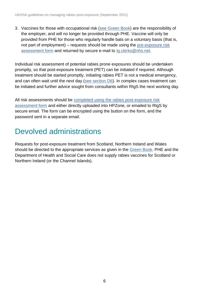3. Vaccines for those with occupational risk [\(see Green Book\)](https://www.gov.uk/government/publications/rabies-the-green-book-chapter-27) are the responsibility of the employer, and will no longer be provided through PHE. Vaccine will only be provided from PHE for those who regularly handle bats on a voluntary basis (that is, not part of employment) – requests should be made using the [pre-exposure risk](https://www.gov.uk/government/publications/rabies-pre-exposure-request-form)  [assessment form](https://www.gov.uk/government/publications/rabies-pre-exposure-request-form) and returned by secure e-mail to [Ig.clerks@nhs.net.](mailto:Ig.clerks@nhs.net)

Individual risk assessment of potential rabies prone exposures should be undertaken promptly, so that post-exposure treatment (PET) can be initiated if required. Although treatment should be started promptly, initiating rabies PET is not a medical emergency, and can often wait until the next day [\(see section D6\)](#page-23-0). In complex cases treatment can be initiated and further advice sought from consultants within RIgS the next working day.

All risk assessments should be [completed using the rabies post-exposure risk](https://www.gov.uk/government/publications/rabies-post-exposure-risk-assessment-form-and-calendar)  [assessment form](https://www.gov.uk/government/publications/rabies-post-exposure-risk-assessment-form-and-calendar) and either directly uploaded into HPZone, or emailed to RIgS by secure email. The form can be encrypted using the button on the form, and the password sent in a separate email.

### Devolved administrations

Requests for post-exposure treatment from Scotland, Northern Ireland and Wales should be directed to the appropriate services as given in the [Green Book.](https://www.gov.uk/government/collections/immunisation-against-infectious-disease-the-green-book) PHE and the Department of Health and Social Care does not supply rabies vaccines for Scotland or Northern Ireland (or the Channel Islands).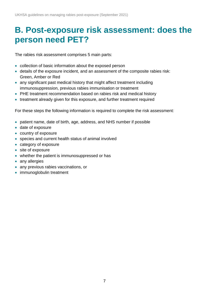## <span id="page-6-0"></span>**B. Post-exposure risk assessment: does the person need PET?**

The rabies risk assessment comprises 5 main parts:

- collection of basic information about the exposed person
- details of the exposure incident, and an assessment of the composite rabies risk: Green, Amber or Red
- any significant past medical history that might affect treatment including immunosuppression, previous rabies immunisation or treatment
- PHE treatment recommendation based on rabies risk and medical history
- treatment already given for this exposure, and further treatment required

For these steps the following information is required to complete the risk assessment:

- patient name, date of birth, age, address, and NHS number if possible
- date of exposure
- country of exposure
- species and current health status of animal involved
- category of exposure
- site of exposure
- whether the patient is immunosuppressed or has
- any allergies
- any previous rabies vaccinations, or
- immunoglobulin treatment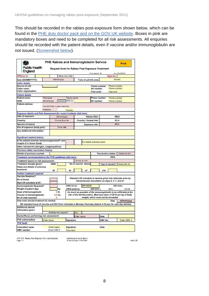This should be recorded in the rabies post-exposure form shown below, which can be found in the [PHE duty doctor pack and on the GOV.UK website.](https://www.gov.uk/government/publications/rabies-post-exposure-risk-assessment-form-and-calendar) Boxes in pink are mandatory boxes and need to be completed for all risk assessments. All enquiries should be recorded with the patient details, even if vaccine and/or immunoglobulin are not issued. [\(Screenshot below\)](https://www.gov.uk/government/publications/rabies-post-exposure-risk-assessment-form-and-calendar).

| Public Health<br>England                                                                                      |                            | PHE Rabies and Immunoglobulin Service<br>Request form for Rabies Post Exposure Treatment |                     |                                                   |                            |                           | Print                                                                                                                                   |
|---------------------------------------------------------------------------------------------------------------|----------------------------|------------------------------------------------------------------------------------------|---------------------|---------------------------------------------------|----------------------------|---------------------------|-----------------------------------------------------------------------------------------------------------------------------------------|
| <b>HPZone</b> no                                                                                              |                            | Office Use ONLY                                                                          |                     | Form version: 29                                  |                            | RigS No:                  | Exp: 29/02/2020                                                                                                                         |
| Date (DD/MM/YYYY):                                                                                            |                            | od/mm/yyyy                                                                               |                     | Time of call (hh:mm):                             |                            |                           | hh:mm                                                                                                                                   |
| <b>Caller details</b>                                                                                         |                            |                                                                                          |                     |                                                   |                            |                           |                                                                                                                                         |
| Source of call:                                                                                               |                            |                                                                                          |                     |                                                   | Phone number:              | Phone number              |                                                                                                                                         |
| Caller name:<br><b>Caller organisation:</b>                                                                   |                            |                                                                                          |                     | Alt number:<br>Post code:                         |                            | Phone number<br>Post code |                                                                                                                                         |
| <b>Patient details</b>                                                                                        |                            |                                                                                          |                     |                                                   |                            |                           |                                                                                                                                         |
| Patient name:                                                                                                 | Firstname                  | <b>Family name</b>                                                                       |                     |                                                   | Phone number:              | Phone number              |                                                                                                                                         |
| DOB:                                                                                                          | dd/mm/yyyy                 | <b>######</b> NHS no:                                                                    |                     | Alt number:                                       |                            | Phone number              |                                                                                                                                         |
| Patient address:                                                                                              | Postoade                   | Use Alt-Enter to get a new line<br>Country                                               |                     |                                                   |                            |                           |                                                                                                                                         |
| Exposure details and Risk Assessment (for recent incidents click here)                                        |                            |                                                                                          |                     |                                                   |                            |                           |                                                                                                                                         |
| Date of exposure:                                                                                             |                            | dd/mm/yyyy                                                                               |                     | Rabies Risk:                                      |                            |                           | <b>#N/A</b>                                                                                                                             |
| Country:                                                                                                      |                            | Chocae from list                                                                         |                     | Country / Animal risk:                            |                            |                           | #N/A                                                                                                                                    |
| <b>Species of animal</b>                                                                                      |                            |                                                                                          |                     |                                                   |                            |                           | #N/A                                                                                                                                    |
| Site of exposure (body part):                                                                                 |                            | Enter site                                                                               |                     | Exposure risk:                                    |                            |                           |                                                                                                                                         |
| Any additional information:                                                                                   |                            |                                                                                          |                     |                                                   |                            |                           |                                                                                                                                         |
| Significant medical history<br>Is the patient severely immunosuppressed? [see<br>chapter 6 in Green Book)     |                            |                                                                                          |                     | Full details including doses                      |                            |                           |                                                                                                                                         |
| Other relevant Hx (allergies, coagulopathies)                                                                 |                            |                                                                                          |                     |                                                   |                            |                           |                                                                                                                                         |
| Previous rabies vaccination history:                                                                          |                            |                                                                                          |                     |                                                   |                            |                           |                                                                                                                                         |
| Details of previous courses                                                                                   |                            |                                                                                          |                     |                                                   | <b>Vaccination status:</b> |                           | Choose an tem.                                                                                                                          |
| Treatment recommendations (for PHE guidelines click here)                                                     |                            |                                                                                          |                     |                                                   |                            | <b>#N/A</b>               |                                                                                                                                         |
| Treatment based on risk assessment:                                                                           |                            |                                                                                          | Choose an barn.     |                                                   |                            |                           |                                                                                                                                         |
| Treatment already given?<br>Dates and details of previous<br>treatment:                                       | <b>HRIG</b><br>dů          | d3                                                                                       | No of vaccine doses | d7                                                | d14                        |                           | Type of vaccine? Choose from list                                                                                                       |
| Further treatment required                                                                                    |                            |                                                                                          |                     |                                                   |                            |                           |                                                                                                                                         |
| Vaccine Reguired?<br>No of doses<br>Start UK schedule at d?:                                                  |                            |                                                                                          |                     | intramuscular inoculation on days 0, 3, 7, and 21 |                            |                           | Standard UK schedule is vaccine given into alternate arms by                                                                            |
| Immunoglobulin Required?<br>Weight of patient (kg):                                                           |                            | HRIG lot no:<br>kд                                                                       | (HRIG potency:      | JRC18216<br>289 IU/ml )                           |                            | $Vol =$                   | 289 IU/mL<br>2.3 ml                                                                                                                     |
| Dose of Immunoglobulin<br>Volume of immunoglobulin<br>No of vials required:                                   |                            | D IU.<br>$0.0$ mL<br>Đ                                                                   |                     | weight, which must not be exceeded.               |                            |                           | As much as possible of the immunoglobulin to be infiltrated at the<br>site of the bite/laceration. Maximum dose of 20 IU per kg of body |
| How soon should treatment be started:                                                                         |                            |                                                                                          |                     |                                                   |                            | Date                      | dd/mm/yyyy                                                                                                                              |
| NB standard issue of vaccine and RIG from Colindale is Monday-Thursday (before 4:30 pm) for next day delivery |                            |                                                                                          |                     |                                                   |                            |                           |                                                                                                                                         |
| Additional advice/<br>information given:                                                                      |                            |                                                                                          |                     |                                                   |                            |                           |                                                                                                                                         |
|                                                                                                               |                            | Antibody test required?                                                                  | YES                 |                                                   |                            |                           |                                                                                                                                         |
| Doctor/Nurse performing risk assessment:                                                                      |                            |                                                                                          | Enter name          |                                                   | Date:                      |                           |                                                                                                                                         |
| PHE authorisation                                                                                             | Enter name                 | Signature:                                                                               |                     |                                                   | GMC No:                    |                           | Enter GMC #                                                                                                                             |
| <b>PHE Audit</b>                                                                                              |                            |                                                                                          |                     |                                                   |                            |                           |                                                                                                                                         |
| Consultant name<br><b>GMC</b> number                                                                          | Enter name<br>Enter GMC I/ | Signature:<br>Comment                                                                    |                     |                                                   | Date:                      |                           |                                                                                                                                         |

IVW 115 - Rabies Post Exposure Form and Calender<br>Page 144

Authorised by:Kevin Brown<br>Effective Date 14/10/2019

issue: 29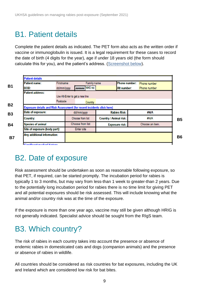### B1. Patient details

Complete the patient details as indicated. The PET form also acts as the written order if vaccine or immunoglobulin is issued. It is a legal requirement for these cases to record the date of birth (4 digits for the year), age if under 18 years old (the form should calculate this for you), and the patient's address. [\(Screenshot below\)](https://www.gov.uk/government/publications/rabies-post-exposure-risk-assessment-form-and-calendar).



### B2. Date of exposure

Risk assessment should be undertaken as soon as reasonable following exposure, so that PET, if required, can be started promptly. The incubation period for rabies is typically 1 to 3 months, but may vary from less-than 1 week to greater-than 2 years. Due to the potentially long incubation period for rabies there is no time limit for giving PET and all potential exposures should be risk assessed. This will include knowing what the animal and/or country risk was at the time of the exposure.

If the exposure is more than one year ago, vaccine may still be given although HRIG is not generally indicated. Specialist advice should be sought from the RIgS team.

## B3. Which country?

The risk of rabies in each country takes into account the presence or absence of endemic rabies in domesticated cats and dogs (companion animals) and the presence or absence of rabies in wildlife.

All countries should be considered as risk countries for bat exposures, including the UK and Ireland which are considered low risk for bat bites.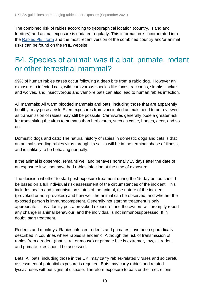The combined risk of rabies according to geographical location (country, island and territory) and animal exposure is updated regularly. This information is incorporated into the [Rabies PET form](https://www.gov.uk/government/publications/rabies-risks-by-country) and the most recent version of the combined country and/or animal risks can be found on the PHE website.

### <span id="page-9-0"></span>B4. Species of animal: was it a bat, primate, rodent or other terrestrial mammal?

99% of human rabies cases occur following a deep bite from a rabid dog. However an exposure to infected cats, wild carnivorous species like foxes, raccoons, skunks, jackals and wolves, and insectivorous and vampire bats can also lead to human rabies infection.

All mammals: All warm blooded mammals and bats, including those that are apparently healthy, may pose a risk. Even exposures from vaccinated animals need to be reviewed as transmission of rabies may still be possible. Carnivores generally pose a greater risk for transmitting the virus to humans than herbivores, such as cattle, horses, deer, and so on.

Domestic dogs and cats: The natural history of rabies in domestic dogs and cats is that an animal shedding rabies virus through its saliva will be in the terminal phase of illness, and is unlikely to be behaving normally.

If the animal is observed, remains well and behaves normally 15 days after the date of an exposure it will not have had rabies infection at the time of exposure.

The decision whether to start post-exposure treatment during the 15 day period should be based on a full individual risk assessment of the circumstances of the incident. This includes health and immunisation status of the animal, the nature of the incident (provoked or non-provoked) and how well the animal can be observed, and whether the exposed person is immunocompetent. Generally not starting treatment is only appropriate if it is a family pet, a provoked exposure, and the owners will promptly report any change in animal behaviour, and the individual is not immunosuppressed. If in doubt, start treatment.

Rodents and monkeys: Rabies-infected rodents and primates have been sporadically described in countries where rabies is endemic. Although the risk of transmission of rabies from a rodent (that is, rat or mouse) or primate bite is extremely low, all rodent and primate bites should be assessed.

Bats: All bats, including those in the UK, may carry rabies-related viruses and so careful assessment of potential exposure is required. Bats may carry rabies and related lyssaviruses without signs of disease. Therefore exposure to bats or their secretions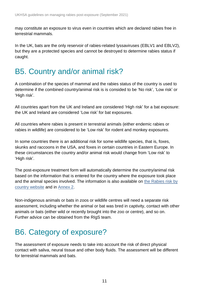may constitute an exposure to virus even in countries which are declared rabies free in terrestrial mammals.

In the UK, bats are the only reservoir of rabies-related lyssaviruses (EBLV1 and EBLV2), but they are a protected species and cannot be destroyed to determine rabies status if caught.

### B5. Country and/or animal risk?

A combination of the species of mammal and the rabies status of the country is used to determine if the combined country/animal risk is is consided to be 'No risk', 'Low risk' or 'High risk'.

All countries apart from the UK and Ireland are considered 'High risk' for a bat exposure: the UK and Ireland are considered 'Low risk' for bat exposures.

All countries where rabies is present in terrestrial animals (either endemic rabies or rabies in wildlife) are considered to be 'Low risk' for rodent and monkey exposures.

In some countries there is an additional risk for some wildlife species, that is, foxes, skunks and raccoons in the USA, and foxes in certain countries in Eastern Europe. In these circumstances the country and/or animal risk would change from 'Low risk' to 'High risk'.

The post-exposure treatment form will automatically determine the country/animal risk based on the information that is entered for the country where the exposure took place and the animal species involved. The information is also available on the Rabies risk by [country website](https://www.gov.uk/government/publications/rabies-risks-by-country) and in [Annex 2.](#page-34-0)

Non-indigenous animals or bats in zoos or wildlife centres will need a separate risk assessment, including whether the animal or bat was bred in captivity, contact with other animals or bats (either wild or recently brought into the zoo or centre), and so on. Further advice can be obtained from the RIgS team.

## B6. Category of exposure?

The assessment of exposure needs to take into account the risk of direct physical contact with saliva, neural tissue and other body fluids. The assessment will be different for terrestrial mammals and bats.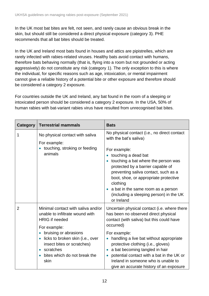In the UK most bat bites are felt, not seen, and rarely cause an obvious break in the skin, but should still be considered a direct physical exposure (category 3). PHE recommends that all bat bites should be treated.

In the UK and Ireland most bats found in houses and attics are pipistrelles, which are rarely infected with rabies-related viruses. Healthy bats avoid contact with humans, therefore bats behaving normally (that is, flying into a room but not grounded or acting aggressively) do not constitute any risk (category 1). The only exception to this is where the individual, for specific reasons such as age, intoxication, or mental impairment cannot give a reliable history of a potential bite or other exposure and therefore should be considered a category 2 exposure.

For countries outside the UK and Ireland, any bat found in the room of a sleeping or intoxicated person should be considered a category 2 exposure. In the USA, 50% of human rabies with bat-variant rabies virus have resulted from unrecognised bat bites.

| Category       | <b>Terrestrial mammals</b>                                                                                                                                                                                                                                                                            | <b>Bats</b>                                                                                                                                                                                                                                                                                                                                                                                                                   |
|----------------|-------------------------------------------------------------------------------------------------------------------------------------------------------------------------------------------------------------------------------------------------------------------------------------------------------|-------------------------------------------------------------------------------------------------------------------------------------------------------------------------------------------------------------------------------------------------------------------------------------------------------------------------------------------------------------------------------------------------------------------------------|
| 1              | No physical contact with saliva<br>For example:<br>touching, stroking or feeding<br>$\bullet$<br>animals                                                                                                                                                                                              | No physical contact (i.e., no direct contact<br>with the bat's saliva)<br>For example:<br>touching a dead bat<br>touching a bat where the person was<br>protected by a barrier capable of<br>preventing saliva contact, such as a<br>boot, shoe, or appropriate protective<br>clothing<br>a bat in the same room as a person<br>(including a sleeping person) in the UK<br>or Ireland                                         |
| $\overline{2}$ | Minimal contact with saliva and/or<br>unable to infiltrate wound with<br><b>HRIG</b> if needed<br>For example:<br>bruising or abrasions<br>$\bullet$<br>licks to broken skin (i.e., over<br>$\bullet$<br>insect bites or scratches)<br>scratches<br>$\bullet$<br>bites which do not break the<br>skin | Uncertain physical contact (i.e. where there<br>has been no observed direct physical<br>contact (with saliva) but this could have<br>occurred)<br>For example:<br>handling a live bat without appropriate<br>$\bullet$<br>protective clothing (i.e., gloves)<br>a bat becoming tangled in hair<br>potential contact with a bat in the UK or<br>Ireland in someone who is unable to<br>give an accurate history of an exposure |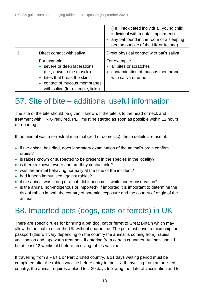|   |                                                                                                                                                                          | (i.e., intoxicated individual, young child,<br>individual with mental impairment)<br>any bat found in the room of a sleeping<br>person outside of the UK or Ireland) |
|---|--------------------------------------------------------------------------------------------------------------------------------------------------------------------------|----------------------------------------------------------------------------------------------------------------------------------------------------------------------|
| 3 | Direct contact with saliva                                                                                                                                               | Direct physical contact with bat's saliva                                                                                                                            |
|   | For example:<br>severe or deep lacerations<br>(i.e., down to the muscle)<br>bites that break the skin<br>contact of mucous membranes<br>with saliva (for example, licks) | For example:<br>all bites or scratches<br>contamination of mucous membrane<br>with saliva or urine                                                                   |

## <span id="page-12-0"></span>B7. Site of bite – additional useful information

The site of the bite should be given if known. If the bite is to the head or neck and treatment with HRIG required, PET must be started as soon as possible within 12 hours of reporting.

If the animal was a terrestrial mammal (wild or domestic), these details are useful:

- if the animal has died, does laboratory examination of the animal's brain confirm rabies?
- is rabies known or suspected to be present in the species in the locality?
- is there a known owner and are they contactable?
- was the animal behaving normally at the time of the incident?
- had it been immunised against rabies?
- if the animal was a dog or a cat, did it become ill while under observation?
- is the animal non-indigenous or imported? If imported it is important to determine the risk of rabies in both the country of potential exposure and the country of origin of the animal

## B8. Imported pets (dogs, cats or ferrets) in UK

There are specific rules for bringing a pet dog, cat or ferret to Great Britain which may allow the animal to enter the UK without quarantine. The pet must have: a microchip, pet passport (this will vary depending on the country the animal is coming from), rabies vaccination and tapeworm treatment if entering from certain countries. Animals should be at least 12 weeks old before receiving rabies vaccine.

If travelling from a Part 1 or Part 2 listed country, a 21 days waiting period must be completed after the rabies vaccine before entry to the UK. If travelling from an unlisted country, the animal requires a blood test 30 days following the date of vaccination and to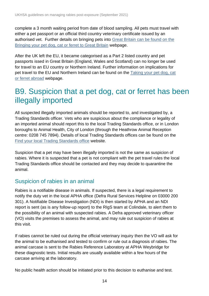complete a 3 month waiting period from date of blood sampling. All pets must travel with either a pet passport or an official third country veterinary certificate issued by an authorised vet. Further details on bringing pets into [Great Britain can be found on the](https://www.gov.uk/bring-pet-to-great-britain)  [Bringing your pet dog, cat or ferret to Great Britain](https://www.gov.uk/bring-pet-to-great-britain) webpage.

After the UK left the EU, it became categorised as a Part 2 listed country and pet passports issed in Great Britain (England, Wales and Scotland) can no longer be used for travel to an EU country or Northern Ireland. Further information on implications for pet travel to the EU and Northern Ireland can be found on the [Taking your pet dog, cat](https://www.gov.uk/taking-your-pet-abroad)  [or ferret abroad](https://www.gov.uk/taking-your-pet-abroad) webpage.

### <span id="page-13-0"></span>B9. Suspicion that a pet dog, cat or ferret has been illegally imported

All suspected illegally imported animals should be reported to, and investigated by, a Trading Standards officer. Vets who are suspicious about the compliance or legality of an imported animal should report this to the local Trading Standards office, or in London boroughs to Animal Health, City of London (through the Heathrow Animal Reception centre: 0208 745 7894). Details of local Trading Standards offices can be found on the Find your [local Trading Standards office](https://www.gov.uk/find-local-trading-standards-office) website.

Suspicion that a pet may have been illegally imported is not the same as suspicion of rabies. Where it is suspected that a pet is not compliant with the pet travel rules the local Trading Standards office should be contacted and they may decide to quarantine the animal.

#### Suspicion of rabies in an animal

Rabies is a notifiable disease in animals. If suspected, there is a legal requirement to notify the duty vet in the local APHA office (Defra Rural Services Helpline on 03000 200 301). A Notifiable Disease Investigation (NDI) is then started by APHA and an NDI report is sent (as is any follow-up report) to the RIgS team at Colindale, to alert them to the possibility of an animal with suspected rabies. A Defra approved veterinary officer (VO) visits the premises to assess the animal, and may rule out suspicion of rabies at this visit.

If rabies cannot be ruled out during the official veterinary inquiry then the VO will ask for the animal to be euthanised and tested to confirm or rule out a diagnosis of rabies. The animal carcase is sent to the Rabies Reference Laboratory at APHA Weybridge for these diagnostic tests. Initial results are usually available within a few hours of the carcase arriving at the laboratory.

No public health action should be initiated prior to this decision to euthanise and test.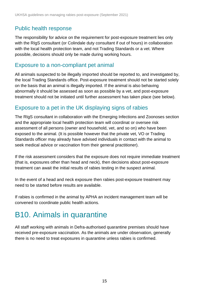### Public health response

The responsibility for advice on the requirement for post-exposure treatment lies only with the RIgS consultant (or Colindale duty consultant if out of hours) in collaboration with the local health protection team, and not Trading Standards or a vet. Where possible, decisions should only be made during working hours.

#### Exposure to a non-compliant pet animal

All animals suspected to be illegally imported should be reported to, and investigated by, the local Trading Standards office. Post-exposure treatment should not be started solely on the basis that an animal is illegally imported. If the animal is also behaving abnormally it should be assessed as soon as possible by a vet, and post-exposure treatment should not be initiated until further assessment has taken place (see below).

### Exposure to a pet in the UK displaying signs of rabies

The RIgS consultant in collaboration with the Emerging Infections and Zoonoses section and the appropriate local health protection team will coordinat or oversee risk assessment of all persons (owner and household, vet, and so on) who have been exposed to the animal. (It is possible however that the private vet, VO or Trading Standards officer may already have advised individuals in contact with the animal to seek medical advice or vaccination from their general practitioner).

If the risk assessment considers that the exposure does not require immediate treatment (that is, exposures other than head and neck), then decisions about post-exposure treatment can await the initial results of rabies testing in the suspect animal.

In the event of a head and neck exposure then rabies post-exposure treatment may need to be started before results are available.

If rabies is confirmed in the animal by APHA an incident management team will be convened to coordinate public health actions.

## B10. Animals in quarantine

All staff working with animals in Defra-authorised quarantine premises should have received pre-exposure vaccination. As the animals are under observation, generally there is no need to treat exposures in quarantine unless rabies is confirmed.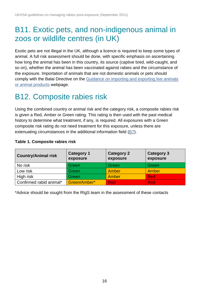### B11. Exotic pets, and non-indigenous animal in zoos or wildlife centres (in UK)

Exotic pets are not illegal in the UK, although a licence is required to keep some types of animal. A full risk assessment should be done, with specific emphasis on ascertaining how long the animal has been in this country, its source (captive bred, wild-caught, and so on), whether the animal has been vaccinated against rabies and the circumstance of the exposure. Importation of animals that are not domestic animals or pets should comply with the Balai Directive on the [Guidance on importing and exporting live animals](https://www.gov.uk/government/collections/guidance-on-importing-and-exporting-live-animals-or-animal-products#balai-directive)  [or animal products](https://www.gov.uk/government/collections/guidance-on-importing-and-exporting-live-animals-or-animal-products#balai-directive) webpage.

### B12. Composite rabies risk

Using the combined country or animal risk and the category risk, a composite rabies risk is given a Red, Amber or Green rating. This rating is then used with the past medical history to determine what treatment, if any, is required. All exposures with a Green composite risk rating do not need treatment for this exposure, unless there are extenuating circumstances in the additional information field [\(B7\)](#page-12-0).

| Table 1. Composite rabies risk |  |
|--------------------------------|--|
|                                |  |

| <b>Country/Animal risk</b> | <b>Category 1</b><br>exposure | <b>Category 2</b><br>exposure | <b>Category 3</b><br>exposure |  |
|----------------------------|-------------------------------|-------------------------------|-------------------------------|--|
| No risk                    | Green                         | Green                         | Green                         |  |
| Low risk                   | Green                         | Amber                         | Amber                         |  |
| High risk                  | Green                         | Amber                         | <b>Red</b>                    |  |
| Confirmed rabid animal*    | Green/Amber*                  | <b>Red</b>                    | <b>Red</b>                    |  |

\*Advice should be sought from the RIgS team in the assessment of these contacts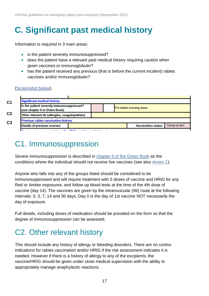# <span id="page-16-0"></span>**C. Significant past medical history**

Information is required in 3 main areas:

- is the patient severely immunosuppressed?
- does the patient have a relevant past medical history requiring caution when given vaccines or immunoglobulin?
- has the patient received any previous (that is before the current incident) rabies vaccines and/or immunoglobulin?

#### [\(Screenshot below\)](https://www.gov.uk/government/publications/rabies-post-exposure-risk-assessment-form-and-calendar).

| <b>Significant medical history</b><br>C <sub>1</sub>                       |                                               |                              |  |  |                                         |
|----------------------------------------------------------------------------|-----------------------------------------------|------------------------------|--|--|-----------------------------------------|
| Is the patient severely immunosuppressed?<br>(see chapter 6 in Green Book) |                                               | Full details including doses |  |  |                                         |
| C <sub>2</sub>                                                             | Other relevant Hx (allergies, coagulopathies) |                              |  |  |                                         |
| Previous rabies vaccination history:<br>C <sub>3</sub>                     |                                               |                              |  |  |                                         |
| <b>Details of previous courses</b>                                         |                                               |                              |  |  | Choose an Item.<br>Vaccination status : |
| $\mathbf{r}$ and $\mathbf{r}$                                              |                                               |                              |  |  |                                         |

### <span id="page-16-1"></span>C1. Immunosuppression

Severe immunosuppression is described in [chapter 6 of the Green Book](https://www.gov.uk/government/publications/contraindications-and-special-considerations-the-green-book-chapter-6) as the conditions where the individual should not receive live vaccines (see also [Annex 1\)](#page-32-0).

Anyone who falls into any of the groups listed should be considered to be immunosuppressed and will require treatment with 5 doses of vaccine and HRIG for any Red or Amber exposures, and follow up blood tests at the time of the 4th dose of vaccine (day 14). The vaccines are given by the intramuscular (IM) route at the following intervals: 0, 3, 7, 14 and 30 days. Day 0 is the day of 1st vaccine NOT necessarily the day of exposure.

Full details, including doses of medication should be provided on the form so that the degree of immunosuppression can be assessed.

## C2. Other relevant history

This should include any history of allergy or bleeding disorders. There are no contraindications for rabies vaccination and/or HRIG if the risk assessment indicates it is needed. However if there is a history of allergy to any of the excipients, the vaccine/HRIG should be given under close medical supervision with the ability to appropriately manage anaphylactic reactions.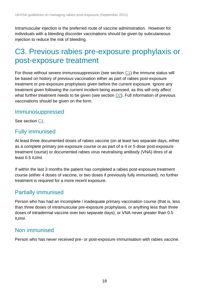Intramuscular injection is the preferred route of vaccine administration. However for individuals with a bleeding discorder vaccinations should be given by subcutaneous injection to reduce the risk of bleeding.

### C3. Previous rabies pre-exposure prophylaxis or post-exposure treatment

For those without severe immunosuppression (see section [C1\)](#page-16-1) the immune status will be based on history of previous vaccination either as part of rabies post-exposure treatment or pre-exposure prophylaxis given before the current exposure. Ignore any treatment given following the current incident being assessed, as this will only affect what further treatment needs to be given (see section [D2\)](#page-19-0). Full information of previous vaccinations should be given on the form.

#### Immunosuppressed

See section [C1.](#page-16-1)

#### Fully immunised

At least three documented doses of rabies vaccine (on at least two separate days, either as a complete primary pre-exposure course or as part of a 4 or 5 dose post-exposure treatment course) or documented rabies virus neutralising antibody (VNA) titres of at least 0.5 IU/ml.

If within the last 3 months the patient has completed a rabies post-exposure treatment course (either 4 doses of vaccine, or two doses if previously fully immunised), no further treatment is required for a more recent exposure.

### Partially immunised

Person who has had an incomplete / inadequate primary vaccination course (that is, less than three doses of intramuscular pre-exposure prophylaxis, or anything less than three doses of intradermal vaccine over two separate days), or VNA never greater than 0.5 IU/ml.

### Non immunised

Person who has never received pre- or post-exposure immunisation with rabies vaccine.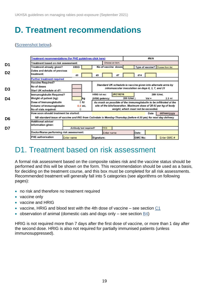## <span id="page-18-0"></span>**D. Treatment recommendations**

#### [\(Screenshot below\)](https://www.gov.uk/government/publications/rabies-post-exposure-risk-assessment-form-and-calendar).

|                | <b>Treatment recommendations (for PHE guidelines click here)</b> | #N/A                    |                                                                                                               |                                                              |                                   |  |  |  |
|----------------|------------------------------------------------------------------|-------------------------|---------------------------------------------------------------------------------------------------------------|--------------------------------------------------------------|-----------------------------------|--|--|--|
| D1             | Treatment based on risk assessment:                              |                         | Choose an item.                                                                                               |                                                              |                                   |  |  |  |
|                | Treatment already given?                                         | <b>HRIG</b>             | No of vaccine doses                                                                                           |                                                              | Type of vaccine? Choose from list |  |  |  |
| D <sub>2</sub> | Dates and details of previous                                    |                         |                                                                                                               |                                                              |                                   |  |  |  |
|                | treatment:                                                       | d <sub>0</sub>          | d7<br>d3                                                                                                      | d14                                                          |                                   |  |  |  |
|                | <b>Further treatment required</b>                                |                         |                                                                                                               |                                                              |                                   |  |  |  |
|                | <b>Vaccine Required?</b>                                         |                         |                                                                                                               | Standard UK schedule is vaccine given into alternate arms by |                                   |  |  |  |
| D <sub>3</sub> | No of doses                                                      |                         |                                                                                                               | intramuscular inoculation on days 0, 3, 7, and 21            |                                   |  |  |  |
|                | Start UK schedule at d?:                                         |                         |                                                                                                               |                                                              |                                   |  |  |  |
|                | Immunoglobulin Required?                                         |                         | <b>JRC18216</b><br><b>HRIG</b> lot no:                                                                        |                                                              | 289 IU/mL                         |  |  |  |
| D4             | Weight of patient (kg):                                          | kg                      | (HRIG potency:                                                                                                | 289 IU/ml)<br>$Vol =$                                        | $2.3$ ml                          |  |  |  |
|                | Dose of Immunoglobulin                                           | 0 <sub>1</sub>          | As much as possible of the immunoglobulin to be infiltrated at the                                            |                                                              |                                   |  |  |  |
|                | <b>Volume of Immunoglobulin</b>                                  | $0.0$ mL                | site of the bite/laceration. Maximum dose of 20 IU per kg of body<br>weight, which must not be exceeded.      |                                                              |                                   |  |  |  |
|                | No of vials required:<br>How soon should treatment be started:   | $\Omega$                |                                                                                                               |                                                              |                                   |  |  |  |
|                |                                                                  |                         |                                                                                                               | Date                                                         | dd/mm/yyyy                        |  |  |  |
| D6             |                                                                  |                         | NB standard issue of vaccine and RIG from Colindale is Monday-Thursday (before 4:30 pm) for next day delivery |                                                              |                                   |  |  |  |
|                | <b>Additional advice/</b><br>information given:                  |                         |                                                                                                               |                                                              |                                   |  |  |  |
| D7             |                                                                  | Antibody test required? | <b>YES</b>                                                                                                    |                                                              |                                   |  |  |  |
|                | Doctor/Nurse performing risk assessment:                         |                         | <b>Enter name</b>                                                                                             | Date:                                                        |                                   |  |  |  |
|                | <b>PHE</b> authorisation                                         | <b>Enter name</b>       | Signature:                                                                                                    | <b>GMC No:</b>                                               | Enter GMC #                       |  |  |  |

### D1. Treatment based on risk assessment

A formal risk assessment based on the composite rabies risk and the vaccine status should be performed and this will be shown on the form. This recommendation should be used as a basis, for deciding on the treatment course, and this box must be completed for all risk assessments. Recommended treatment will generally fall into 5 categories (see algorithms on following pages):

- no risk and therefore no treatment required
- vaccine only
- vaccine and HRIG
- vaccine, HRIG and blood test with the 4th dose of vaccine see section  $C_1$
- observation of animal (domestic cats and dogs only see section [B4\)](#page-9-0)

HRIG is not required more than 7 days after the first dose of vaccine, or more than 1 day after the second dose. HRIG is also not required for partially immunised patients (unless immunosuppressed).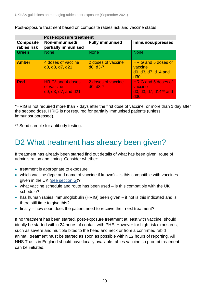|                                 | <b>Post-exposure treatment</b>                                                           |                                  |                                                                       |  |  |  |  |  |  |
|---------------------------------|------------------------------------------------------------------------------------------|----------------------------------|-----------------------------------------------------------------------|--|--|--|--|--|--|
| <b>Composite</b><br>rabies risk | Non-immunised/<br>partially immunised                                                    | <b>Fully immunised</b>           | Immunosuppressed                                                      |  |  |  |  |  |  |
| <b>Green</b>                    | <b>None</b>                                                                              | <b>None</b>                      | <b>None</b>                                                           |  |  |  |  |  |  |
| <b>Amber</b>                    | 4 doses of vaccine<br>d <sub>0</sub> , d <sub>3</sub> , d <sub>7</sub> , d <sub>21</sub> | 2 doses of vaccine<br>$d0, d3-7$ | <b>HRIG and 5 doses of</b><br>vaccine<br>d0, d3, d7, d14 and<br>d30   |  |  |  |  |  |  |
| <b>Red</b>                      | HRIG <sup>*</sup> and 4 doses<br>of vaccine<br>d0, d3, d7, and d21                       | 2 doses of vaccine<br>$d0, d3-7$ | <b>HRIG and 5 doses of</b><br>vaccine<br>d0, d3, d7, d14** and<br>d30 |  |  |  |  |  |  |

Post-exposure treatment based on composite rabies risk and vaccine status:

\*HRIG is not required more than 7 days after the first dose of vaccine, or more than 1 day after the second dose. HRIG is not required for partially immunised patients (unless immunosuppressed).

\*\* Send sample for antibody testing.

### <span id="page-19-0"></span>D2 What treatment has already been given?

If treatment has already been started find out details of what has been given, route of administration and timing. Consider whether:

- treatment is appropriate to exposure
- which vaccine (type and name of vaccine if known) is this compatible with vaccines given in the UK [\(see section G\)](#page-29-0)?
- what vaccine schedule and route has been used is this compatible with the UK schedule?
- has human rabies immunoglobulin (HRIG) been given if not is this indicated and is there still time to give this?
- finally how soon does the patient need to receive their next treatment?

If no treatment has been started, post-exposure treatment at least with vaccine, should ideally be started within 24 hours of contact with PHE. However for high risk exposures, such as severe and multiple bites to the head and neck or from a confirmed rabid animal, treatment must be started as soon as possible within 12 hours of reporting. All NHS Trusts in England should have locally available rabies vaccine so prompt treatment can be initiated.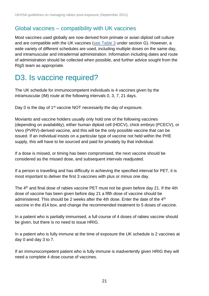#### Global vaccines – compatibility with UK vaccines

Most vaccines used globally are now derived from primate or avian diploid cell culture and are compatible with the UK vaccines [\(see Table 3](#page-29-1) under section G). However, a wide variety of different schedules are used, including multiple doses on the same day, and intramuscular and intradermal administration. Information including dates and route of administration should be collected when possible, and further advice sought from the RIgS team as appropriate.

### D3. Is vaccine required?

The UK schedule for immunocompetent individuals is 4 vaccines given by the intramuscular (IM) route at the following intervals 0, 3, 7, 21 days.

Day 0 is the day of 1<sup>st</sup> vaccine NOT necessarily the day of exposure.

Movianto and vaccine holders usually only hold one of the following vaccines (depending on availability), either human diploid cell (HDCV), chick embryo (PCECV), or Vero (PVRV)-derived vaccine, and this will be the only possible vaccine that can be issued. If an individual insists on a particular type of vaccine not held within the PHE supply, this will have to be sourced and paid for privately by that individual.

If a dose is missed, or timing has been compromised, the next vaccine should be considered as the missed dose, and subsequent intervals readjusted.

If a person is travelling and has difficulty in achieving the specified interval for PET, it is most important to deliver the first 3 vaccines with plus or minus one day.

The 4th and final dose of rabies vaccine PET must not be given before day 21. If the 4th dose of vaccine has been given before day 21 a fifth dose of vaccine should be administered. This should be 2 weeks after the 4th dose. Enter the date of the  $4<sup>th</sup>$ vaccine in the d14 box, and change the recommended treatment to 5 doses of vaccine.

In a patient who is partially immunised, a full course of 4 doses of rabies vaccine should be given, but there is no need to issue HRIG.

In a patient who is fully immune at the time of exposure the UK schedule is 2 vaccines at day 0 and day 3 to 7.

If an immunocompetent patient who is fully immune is inadvertently given HRIG they will need a complete 4 dose course of vaccines.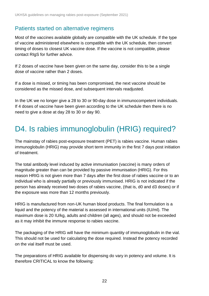### Patients started on alternative regimens

Most of the vaccines available globally are compatible with the UK schedule. If the type of vaccine administered elsewhere is compatible with the UK schedule, then convert timing of doses to closest UK vaccine dose. If the vaccine is not compatible, please contact RIgS for further advice.

If 2 doses of vaccine have been given on the same day, consider this to be a single dose of vaccine rather than 2 doses.

If a dose is missed, or timing has been compromised, the next vaccine should be considered as the missed dose, and subsequent intervals readjusted.

In the UK we no longer give a 28 to 30 or 90-day dose in immunocompetent individuals. If 4 doses of vaccine have been given according to the UK schedule then there is no need to give a dose at day 28 to 30 or day 90.

### D4. Is rabies immunoglobulin (HRIG) required?

The mainstay of rabies post-exposure treatment (PET) is rabies vaccine. Human rabies immunoglobulin (HRIG) may provide short term immunity in the first 7 days post initiation of treatment.

The total antibody level induced by active immunisation (vaccine) is many orders of magnitude greater than can be provided by passive immunisation (HRIG). For this reason HRIG is not given more than 7 days after the first dose of rabies vaccine or to an individual who is already partially or previously immunised. HRIG is not indicated if the person has already received two doses of rabies vaccine, (that is, d0 and d3 doses) or if the exposure was more than 12 months previously.

HRIG is manufactured from non-UK human blood products. The final formulation is a liquid and the potency of the material is assessed in international units (IU/ml). The maximum dose is 20 IU/kg, adults and children (all ages), and should not be exceeded as it may inhibit the immune response to rabies vaccine.

The packaging of the HRIG will have the minimum quantity of immunoglobulin in the vial. This should not be used for calculating the dose required. Instead the potency recorded on the vial itself must be used.

The preparations of HRIG available for dispensing do vary in potency and volume. It is therefore CRITICAL to know the following: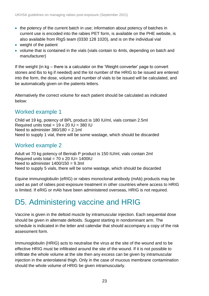- the potency of the current batch in use; information about potency of batches in current use is encoded into the rabies PET form, is available on the PHE website, is also available from RIgS team (0330 128 1020), and is on the individual vial
- weight of the patient
- volume that is contained in the vials (vials contain to 4mls, depending on batch and manufacturer)

If the weight (in kg – there is a calculator on the 'Weight converter' page to convert stones and lbs to kg if needed) and the lot number of the HRIG to be issued are entered into the form, the dose, volume and number of vials to be issued will be calculated, and be automatically given on the patients letters.

Alternatively the correct volume for each patient should be calculated as indicated below:

### Worked example 1

Child wt 19 kg, potency of BPL product is 180 IU/ml, vials contain 2.5ml Required units total =  $19 \times 20$  IU =  $380$  IU Need to administer  $380/180 = 2.1$ ml Need to supply 1 vial, there will be some wastage, which should be discarded

#### Worked example 2

Adult wt 70 kg potency of Berirab P product is 150 IU/ml, vials contain 2ml Required units total =  $70 \times 20$  IU= 1400IU Need to administer  $1400/150 = 9.3$ ml Need to supply 5 vials, there will be some wastage, which should be discarded

Equine immunoglobulin (eRIG) or rabies monoclonal antibody (mAb) products may be used as part of rabies post-exposure treatment in other countries where access to HRIG is limited. If eRIG or mAb have been administered overseas, HRIG is not required.

### D5. Administering vaccine and HRIG

Vaccine is given in the deltoid muscle by intramuscular injection. Each sequential dose should be given in alternate deltoids. Suggest starting in nondominant arm. The schedule is indicated in the letter and calendar that should accompany a copy of the risk assessment form.

Immunoglobulin (HRIG) acts to neutralise the virus at the site of the wound and to be effective HRIG must be infiltrated around the site of the wound. If it is not possible to infiltrate the whole volume at the site then any excess can be given by intramuscular injection in the anterolateral thigh. Only in the case of mucous membrane contamination should the whole volume of HRIG be given intramuscularly.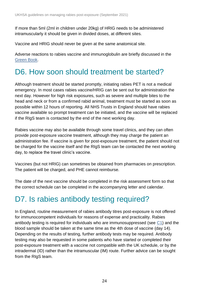If more than 5ml (2ml in children under 20kg) of HRIG needs to be administered intramuscularly it should be given in divided doses, at different sites.

Vaccine and HRIG should never be given at the same anatomical site.

Adverse reactions to rabies vaccine and immunoglobulin are briefly discussed in the [Green Book.](https://www.gov.uk/government/publications/rabies-the-green-book-chapter-27)

### <span id="page-23-0"></span>D6. How soon should treatment be started?

Although treatment should be started promptly, initiating rabies PET is not a medical emergency. In most cases rabies vaccine/HRIG can be sent out for administration the next day. However for high risk exposures, such as severe and multiple bites to the head and neck or from a confirmed rabid animal, treatment must be started as soon as possible within 12 hours of reporting. All NHS Trusts in England should have rabies vaccine available so prompt treatment can be initiated, and the vaccine will be replaced if the RIgS team is contacted by the end of the next working day.

Rabies vaccine may also be available through some travel clinics, and they can often provide post-exposure vaccine treatment, although they may charge the patient an administration fee. If vaccine is given for post-exposure treatment, the patient should not be charged for the vaccine itself and the RIgS team can be contacted the next working day, to replace the travel clinic's vaccine.

Vaccines (but not HRIG) can sometimes be obtained from pharmacies on prescription. The patient will be charged, and PHE cannot reimburse.

The date of the next vaccine should be completed in the risk assessment form so that the correct schedule can be completed in the accompanying letter and calendar.

### D7. Is rabies antibody testing required?

In England, routine measurement of rabies antibody titres post-exposure is not offered for immunocompetent individuals for reasons of expense and practicality. Rabies antibody testing is required for individuals who are immunosuppressed (see [C1\)](#page-16-1) and the blood sample should be taken at the same time as the 4th dose of vaccine (day 14). Depending on the results of testing, further antibody tests may be required. Antibody testing may also be requested in some patients who have started or completed their post-exposure treatment with a vaccine not compatible with the UK schedule, or by the intradermal (ID) rather than the intramuscular (IM) route. Further advice can be sought from the RIgS team.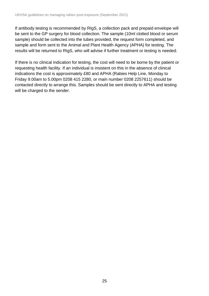If antibody testing is recommended by RIgS, a collection pack and prepaid envelope will be sent to the GP surgery for blood collection. The sample (10ml clotted blood or serum sample) should be collected into the tubes provided, the request form completed, and sample and form sent to the Animal and Plant Health Agency (APHA) for testing. The results will be returned to RIgS, who will advise if further treatment or testing is needed.

If there is no clinical indication for testing, the cost will need to be borne by the patient or requesting health facility. If an individual is insistent on this in the absence of clinical indications the cost is approximately £80 and APHA (Rabies Help Line, Monday to Friday 9.00am to 5.00pm 0208 415 2280, or main number 0208 2257611) should be contacted directly to arrange this. Samples should be sent directly to APHA and testing will be charged to the sender.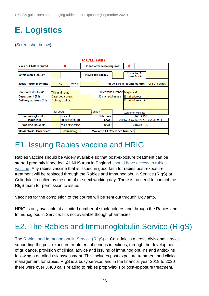# <span id="page-25-0"></span>**E. Logistics**

#### [\(Screenshot below\)](https://www.gov.uk/government/publications/rabies-post-exposure-risk-assessment-form-and-calendar).

| <b>FOR ALL ISSUES</b>                    |                                            |                  |                                    |                                |          |                                                  |                    |                                     |  |               |
|------------------------------------------|--------------------------------------------|------------------|------------------------------------|--------------------------------|----------|--------------------------------------------------|--------------------|-------------------------------------|--|---------------|
| <b>Vials of HRIG required</b>            |                                            |                  |                                    | Doses of vaccine required      |          | 0                                                |                    |                                     |  |               |
| Is this a split issue?                   |                                            |                  |                                    | How many issues?               |          |                                                  |                    | If more than 2 -<br>linked form #   |  |               |
| <b>Issue 1 from Movianto:</b>            |                                            | <b>No</b>        | $Mov. \#:$                         |                                |          |                                                  |                    | <b>Issue 1 from issuing centre:</b> |  | Which centre? |
|                                          |                                            |                  |                                    |                                |          |                                                  |                    |                                     |  |               |
| <b>Recipient doctor #1:</b>              | Title and name                             |                  |                                    | Telephone number: Telephone -1 |          |                                                  |                    |                                     |  |               |
| Department (#1)                          | Enter department                           |                  |                                    |                                |          | E-mail addresses : E-mail address -1             |                    |                                     |  |               |
| Delivery address (#1):                   |                                            | Delivery address |                                    |                                |          |                                                  | E-mail address - 2 |                                     |  |               |
|                                          |                                            |                  |                                    |                                |          |                                                  |                    |                                     |  |               |
|                                          | Post code:                                 |                  |                                    |                                | Country: |                                                  |                    | Customer verified:                  |  |               |
| <b>Immunoglobulin</b><br>$l$ ssue $(H1)$ |                                            | vials of         | <b>Batch no:</b><br>immunoglobulin |                                | SKU :    | <b>JRC19254</b><br>24RIG JRC19254 Exp 30/03/2021 |                    |                                     |  |               |
| Vaccine Issue (#1)                       |                                            |                  | vials of vaccine                   | SKU :<br>24RABIPUR             |          |                                                  |                    |                                     |  |               |
| Movianto #1 Order date                   | Movianto #1 Reference Number<br>dd/mm/yyyy |                  |                                    |                                |          |                                                  |                    |                                     |  |               |

### E1. Issuing Rabies vaccine and HRIG

Rabies vaccine should be widely available so that post-exposure treatment can be started promptly if needed. All NHS trust in England should have access to rabies [vaccine.](https://assets.publishing.service.gov.uk/government/uploads/system/uploads/attachment_data/file/916120/Rabies_vaccine_letter_for_AE_consultants_and_pharmacists_Sep2020.pdf) Any rabies vaccine that is issued in good faith for rabies post-exposure treatment will be replaced through the Rabies and Immunoglobulin Service (RIgS) at Colindale if notified by the end of the next working day. There is no need to contact the RIgS team for permission to issue.

Vaccines for the completion of the course will be sent out through Movianto.

HRIG is only available at a limited number of stock-holders and through the Rabies and Immunoglobulin Service. It is not available though pharmacies

## E2. The Rabies and Immunoglobulin Service (RIgS)

The [Rabies and Immunoglobulin Service \(RIgS\)](https://www.gov.uk/government/publications/immunoglobulin-when-to-use/rabies-and-immunoglobulin-rigs-changes-to-the-current-service) at Colindale is a cross-divisional service supporting the post-exposure treatment of serious infections, through the development of guidance, provision of clinical advice and issuing of immunoglobulins and antitoxins following a detailed risk assessment. This includes post exposure treatment and clinical management for rabies. RIgS is a busy service, and in the financial year 2019 to 2020 there were over 3,400 calls relating to rabies prophylaxis or post-exposure treatment.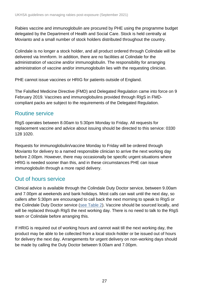Rabies vaccine and immunoglobulin are procured by PHE using the programme budget delegated by the Department of Health and Social Care. Stock is held centrally at Movianto and a small number of stock holders distributed throughout the country.

Colindale is no longer a stock holder, and all product ordered through Colindale will be delivered via Immform. In addition, there are no facilities at Colindale for the administration of vaccine and/or immunoglobulin. The responsibility for arranging administration of vaccine and/or immunoglobulin lies with the requesting clinician.

PHE cannot issue vaccines or HRIG for patients outside of England.

The Falsified Medicine Directive (FMD) and Delegated Regulation came into force on 9 February 2019. Vaccines and immunoglobulins provided through RIgS in FMDcompliant packs are subject to the requirements of the Delegated Regulation.

#### Routine service

RIgS operates between 8.00am to 5:30pm Monday to Friday. All requests for replacement vaccine and advice about issuing should be directed to this service: 0330 128 1020.

Requests for immunoglobulin/vaccine Monday to Friday will be ordered through Movianto for delivery to a named responsible clinician to arrive the next working day before 2.00pm. However, there may occasionally be specific urgent situations where HRIG is needed sooner than this, and in these circumstances PHE can issue immunoglobulin through a more rapid delivery.

### Out of hours service

Clinical advice is available through the Colindale Duty Doctor service, between 9.00am and 7.00pm at weekends and bank holidays. Most calls can wait until the next day, so callers after 5:30pm are encouraged to call back the next morning to speak to RIgS or the Colindale Duty Doctor service [\(see Table 2\)](#page-27-0). Vaccine should be sourced locally, and will be replaced through RIgS the next working day. There is no need to talk to the RIgS team or Colindale before arranging this.

If HRIG is required out of working hours and cannot wait till the next working day, the product may be able to be collected from a local stock-holder or be issued out of hours for delivery the next day. Arrangements for urgent delivery on non-working days should be made by calling the Duty Doctor between 9.00am and 7.00pm.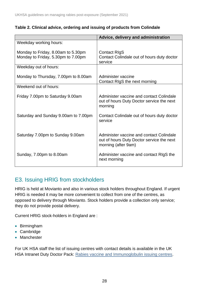<span id="page-27-0"></span>

| Table 2. Clinical advice, ordering and issuing of products from Colindale |  |  |  |  |
|---------------------------------------------------------------------------|--|--|--|--|
|---------------------------------------------------------------------------|--|--|--|--|

|                                                                          | Advice, delivery and administration                                                                          |
|--------------------------------------------------------------------------|--------------------------------------------------------------------------------------------------------------|
| Weekday working hours:                                                   |                                                                                                              |
| Monday to Friday, 8.00am to 5.30pm<br>Monday to Friday, 5.30pm to 7.00pm | <b>Contact RIgS</b><br>Contact Colindale out of hours duty doctor<br>service                                 |
| Weekday out of hours:                                                    |                                                                                                              |
| Monday to Thursday, 7.00pm to 8.00am                                     | Administer vaccine<br>Contact RIgS the next morning                                                          |
| Weekend out of hours:                                                    |                                                                                                              |
| Friday 7.00pm to Saturday 9.00am                                         | Administer vaccine and contact Colindale<br>out of hours Duty Doctor service the next<br>morning             |
| Saturday and Sunday 9.00am to 7.00pm                                     | Contact Colindale out of hours duty doctor<br>service                                                        |
| Saturday 7.00pm to Sunday 9.00am                                         | Administer vaccine and contact Colindale<br>out of hours Duty Doctor service the next<br>morning (after 9am) |
| Sunday, 7.00pm to 8.00am                                                 | Administer vaccine and contact RIgS the<br>next morning                                                      |

### E3. Issuing HRIG from stockholders

HRIG is held at Movianto and also in various stock holders throughout England. If urgent HRIG is needed it may be more convenient to collect from one of the centres, as opposed to delivery through Movianto. Stock holders provide a collection only service; they do not provide postal delivery.

Current HRIG stock-holders in England are :

- Birmingham
- Cambridge
- Manchester

For UK HSA staff the list of issuing centres with contact details is available in the UK HSA Intranet Duty Doctor Pack: [Rabies vaccine and Immunoglobulin issuing centres.](http://phenet.phe.gov.uk/Resources/duty-doctors/Documents/IMW033-stock-holders-igs-rabies-inc-out-hours-sheets.xls)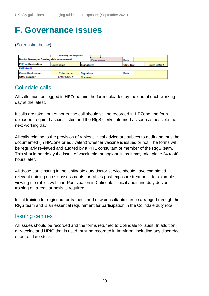## <span id="page-28-0"></span>**F. Governance issues**

#### [\(Screenshot below\)](https://www.gov.uk/government/publications/rabies-post-exposure-risk-assessment-form-and-calendar).

|                                          | <b>MINDOOA (ART IAONIIAO)</b> |            |            |                |            |
|------------------------------------------|-------------------------------|------------|------------|----------------|------------|
| Doctor/Nurse performing risk assessment: |                               |            | Enter name | Date:          |            |
| <b>PHE</b> authorisation                 | Enter name                    | Signature: |            | <b>GMC No:</b> | Enter GMC# |
| <b>PHE Audit</b>                         |                               |            |            |                |            |
| <b>Consultant name</b>                   | Enter name                    | Signature: |            | Date:          |            |
| <b>GMC</b> number                        | Enter GMC#                    | Comment    |            |                |            |

#### Colindale calls

All calls must be logged in HPZone and the form uploaded by the end of each working day at the latest.

If calls are taken out of hours, the call should still be recorded in HPZone, the form uploaded, required actions listed and the RIgS clerks informed as soon as possible the next working day.

All calls relating to the provision of rabies clinical advice are subject to audit and must be documented (in HPZone or equivalent) whether vaccine is issued or not. The forms will be regularly reviewed and audited by a PHE consultant or member of the RIgS team. This should not delay the issue of vaccine/immunoglobulin as it may take place 24 to 48 hours later.

All those participating in the Colindale duty doctor service should have completed relevant training on risk assessments for rabies post-exposure treatment, for example, viewing the rabies webinar. Participation in Colindale clinical audit and duty doctor training on a regular basis is required.

Initial training for registrars or trainees and new consultants can be arranged through the RIgS team and is an essential requirement for participation in the Colindale duty rota.

#### Issuing centres

All issues should be recorded and the forms returned to Colindale for audit. In addition all vaccine and HRIG that is used must be recorded in Immform, including any discarded or out of date stock.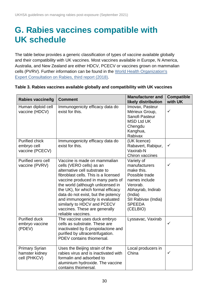## <span id="page-29-0"></span>**G. Rabies vaccines compatible with UK schedule**

The table below provides a generic classification of types of vaccine available globally and their compatibility with UK vaccines. Most vaccines available in Europe, N America, Australia, and New Zealand are either HDCV, PCECV or vaccines grown on mammalian cells (PVRV). Further information can be found in the [World Health Organization's](https://www.who.int/rabies/resources/who_trs_1012/en/)  [Expert Consultation on Rabies, third report \(2018\).](https://www.who.int/rabies/resources/who_trs_1012/en/)

| <b>Rabies vaccine/Ig</b>                                | <b>Comment</b>                                                                                                                                                                                                                                                                                                                                                                                                   | <b>Manufacturer and</b><br>likely distribution                                                                                                                               | <b>Compatible</b><br>with UK |
|---------------------------------------------------------|------------------------------------------------------------------------------------------------------------------------------------------------------------------------------------------------------------------------------------------------------------------------------------------------------------------------------------------------------------------------------------------------------------------|------------------------------------------------------------------------------------------------------------------------------------------------------------------------------|------------------------------|
| Human diploid cell<br>vaccine (HDCV)                    | Immunogenicity efficacy data do<br>exist for this.                                                                                                                                                                                                                                                                                                                                                               | Imovax, Pasteur<br>Mérieux Group,<br>Sanofi Pasteur<br><b>MSD Ltd UK</b><br>Chengdu<br>Kanghua,<br>Rabivax                                                                   | ✓                            |
| <b>Purified chick</b><br>embryo cell<br>vaccine (PCECV) | Immunogenicity efficacy data do<br>exist for this.                                                                                                                                                                                                                                                                                                                                                               | (UK licence)<br>Rabavert, Rabipur,<br>Vaxirab-N<br>Chiron vaccines                                                                                                           | ✓                            |
| Purified vero cell<br>vaccine (PVRV)                    | Vaccine is made on mammalian<br>cells (VERO cells) as an<br>alternative cell substrate to<br>fibroblast cells. This is a licensed<br>vaccine produced in many parts of<br>the world (although unlicensed in<br>the UK), for which formal efficacy<br>data do not exist, but the potency<br>and immunogenicity is evaluated<br>similarly to HDCV and PCECV<br>vaccines. These are generally<br>reliable vaccines. | Variety of<br>manufacturers<br>make this.<br>Possible trade<br>names include<br>Verorab.<br>Abhayrab, Indirab<br>(India)<br>SII Rabivax (India)<br><b>SPEEDA</b><br>(CELBIO) | $\checkmark$                 |
| <b>Purified duck</b><br>embryo vaccine<br>(PDEV)        | The vaccine uses duck embryo<br>cells as substrate. These are<br>inactivated by ß-propiolactone and<br>purified by ultracentrifugation.<br>PDEV contains thiomersal.                                                                                                                                                                                                                                             | Lyssavac, Vaxirab                                                                                                                                                            | ✓                            |
| <b>Primary Syrian</b><br>hamster kidney<br>cell (PHKCV) | Uses the Beijing strain of the<br>rabies virus and is inactivated with<br>formalin and adsorbed to<br>aluminium hydroxide. The vaccine<br>contains thiomersal.                                                                                                                                                                                                                                                   | Local producers in<br>China                                                                                                                                                  | $\checkmark$                 |

#### <span id="page-29-1"></span>**Table 3. Rabies vaccines available globally and compatibility with UK vaccines**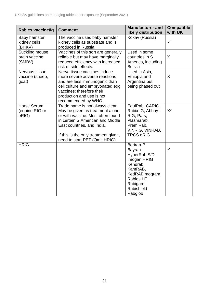| <b>Rabies vaccine/Ig</b>                      | <b>Comment</b>                                                                                                                                                                                                                                      | <b>Manufacturer and</b><br>likely distribution                                                                                                       | <b>Compatible</b><br>with UK |
|-----------------------------------------------|-----------------------------------------------------------------------------------------------------------------------------------------------------------------------------------------------------------------------------------------------------|------------------------------------------------------------------------------------------------------------------------------------------------------|------------------------------|
| <b>Baby hamster</b><br>kidney cells<br>(BHKV) | The vaccine uses baby hamster<br>kidney cells as substrate and is<br>produced in Russia                                                                                                                                                             | Kokav (Russia)                                                                                                                                       | $\checkmark$                 |
| Suckling mouse<br>brain vaccine<br>(SMBV)     | Vaccines of this sort are generally<br>reliable but may have marginally<br>reduced efficiency with increased<br>risk of side effects.                                                                                                               | Used in some<br>countries in S<br>America, including<br><b>Bolivia</b>                                                                               | X                            |
| Nervous tissue<br>vaccine (sheep,<br>goat)    | Nerve tissue vaccines induce<br>more severe adverse reactions<br>and are less immunogenic than<br>cell culture and embryonated egg<br>vaccines; therefore their<br>production and use is not<br>recommended by WHO.                                 | Used in Asia,<br>Ethiopia and<br>Argentina but<br>being phased out                                                                                   | X                            |
| Horse Serum<br>(equine RIG or<br>eRIG)        | Trade name is not always clear.<br>May be given as treatment alone<br>or with vaccine. Most often found<br>in certain S American and Middle<br>East countries, and India.<br>If this is the only treatment given,<br>need to start PET (Omit HRIG). | EquiRab, CARIG,<br>Rabix IG, Abhay-<br>RIG, Pars,<br>Plasmarab,<br>PremiRab,<br>VINRIG, VINRAB,<br><b>TRCS eRIG</b>                                  | $X^*$                        |
| <b>HRIG</b>                                   |                                                                                                                                                                                                                                                     | Berirab-P<br><b>Bayrab</b><br>HyperRab S/D<br>Imogan HRIG<br>Kendrab,<br>KamRAB,<br>KedRABImogram<br>Rabies HT,<br>Rabigam,<br>Rabishield<br>Rabglob | ✓                            |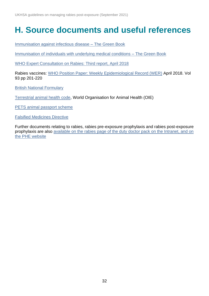## <span id="page-31-0"></span>**H. Source documents and useful references**

[Immunisation against infectious disease –](https://www.gov.uk/government/publications/rabies-the-green-book-chapter-27) The Green Book

[Immunisation of individuals with underlying medical conditions –](https://www.gov.uk/government/publications/immunisation-of-individuals-with-underlying-medical-conditions-the-green-book-chapter-7) The Green Book

[WHO Expert Consultation on Rabies: Third report, April 2018](http://www.who.int/rabies/resources/who_trs_1012/en/)

Rabies vaccines: [WHO Position Paper: Weekly Epidemiological](http://www.who.int/rabies/resources/who_wer9316/en/) Record (WER) April 2018. Vol 93 pp 201-220

[British National Formulary](http://www.bnf.org/)

[Terrestrial animal health code,](https://www.oie.int/index.php?id=169&L=0&htmfile=chapitre_rabies.htm) World Organisation for Animal Health (OIE)

[PETS animal passport scheme](http://www.defra.gov.uk/wildlife-pets/pets/travel/pets/)

[Falsified Medicines Directive](https://www.gov.uk/guidance/implementing-the-falsified-medicines-directive-safety-features)

Further documents relating to rabies, rabies pre-exposure prophylaxis and rabies post-exposure prophylaxis are also [available on the rabies page of the duty doctor pack on the Intranet, and on](https://www.gov.uk/government/collections/rabies-risk-assessment-post-exposure-treatment-management)  [the PHE website](https://www.gov.uk/government/collections/rabies-risk-assessment-post-exposure-treatment-management)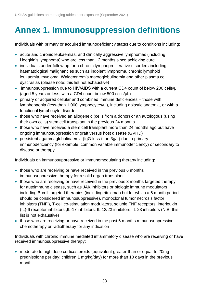# <span id="page-32-0"></span>**Annex 1. Immunosuppression definitions**

Individuals with primary or acquired immunodeficiency states due to conditions including:

- acute and chronic leukaemias, and clinically aggressive lymphomas (including Hodgkin's lymphoma) who are less than 12 months since achieving cure
- individuals under follow up for a chronic lymphoproliferative disorders including haematological malignancies such as indolent lymphoma, chronic lymphoid leukaemia, myeloma, Waldenstrom's macroglobulinemia and other plasma cell dyscrasias (please note: this list not exhaustive)
- immunosuppression due to HIV/AIDS with a current CD4 count of below 200 cells/ul (aged 5 years or less, with a CD4 count below 500 cells/μl.)
- primary or acquired cellular and combined immune deficiencies those with lymphopaenia (less-than 1,000 lymphocytes/ul), including aplastic anaemia, or with a functional lymphocyte disorder
- those who have received an allogeneic (cells from a donor) or an autologous (using their own cells) stem cell transplant in the previous 24 months
- those who have received a stem cell transplant more than 24 months ago but have ongoing immunosuppression or graft versus host disease (GVHD)
- persistent agammaglobulinaemia (IgG less-than 3g/L) due to primary immunodeficiency (for example, common variable immunodeficiency) or secondary to disease or therapy

Individuals on immunosuppressive or immunomodulating therapy including:

- those who are receiving or have received in the previous 6 months immunosuppressive therapy for a solid organ transplant
- those who are receiving or have received in the previous 3 months targeted therapy for autoimmune disease, such as JAK inhibitors or biologic immune modulators including B-cell targeted therapies (including rituximab but for which a 6 month period should be considered immunosuppressive), monoclonal tumor necrosis factor inhibitors (TNFi), T-cell co-stimulation modulators, soluble TNF receptors, interleukin (IL)-6 receptor inhibitors.,IL-17 inhibitors, IL 12/23 inhibitors, IL 23 inhibitors (N.B: this list is not exhaustive)
- those who are receiving or have received in the past 6 months mmunosuppressive chemotherapy or radiotherapy for any indication

Individuals with chronic immune mediated inflammatory disease who are receiving or have received immunosuppressive therapy:

• moderate to high dose corticosteroids (equivalent greater-than or equal-to 20mg prednisolone per day; children 1 mg/kg/day) for more than 10 days in the previous month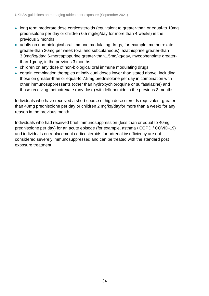- long term moderate dose corticosteroids (equivalent to greater-than or equal-to 10mg prednisolone per day or children 0.5 mg/kg/day for more than 4 weeks) in the previous 3 months
- adults on non-biological oral immune modulating drugs, for example, methotrexate greater-than 20mg per week (oral and subcutaneous), azathioprine greater-than 3.0mg/kg/day; 6-mercaptopurine greater-than1.5mg/kg/day, mycophenolate greaterthan 1g/day, in the previous 3 months
- children on any dose of non-biological oral immune modulating drugs
- certain combination therapies at individual doses lower than stated above, including those on greater-than or equal-to 7.5mg prednisolone per day in combination with other immunosuppressants (other than hydroxychloroquine or sulfasalazine) and those receiving methotrexate (any dose) with leflunomide in the previous 3 months

Individuals who have received a short course of high dose steroids (equivalent greaterthan 40mg prednisolone per day or children 2 mg/kg/dayfor more than a week) for any reason in the previous month.

Individuals who had received brief immunosuppression (less than or equal to 40mg prednisolone per day) for an acute episode (for example, asthma / COPD / COVID-19) and individuals on replacement corticosteroids for adrenal insufficiency are not considered severely immunosuppressed and can be treated with the standard post exposure treatment.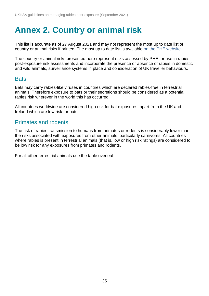## <span id="page-34-0"></span>**Annex 2. Country or animal risk**

This list is accurate as of 27 August 2021 and may not represent the most up to date list of country or animal risks if printed. The most up to date list is available [on the PHE website.](https://www.gov.uk/government/publications/rabies-risks-by-country.)

The country or animal risks presented here represent risks assessed by PHE for use in rabies post-exposure risk assessments and incorporate the presence or absence of rabies in domestic and wild animals, surveillance systems in place and consideration of UK traveller behaviours.

#### **Bats**

Bats may carry rabies-like viruses in countries which are declared rabies-free in terrestrial animals. Therefore exposure to bats or their secretions should be considered as a potential rabies risk wherever in the world this has occurred.

All countries worldwide are considered high risk for bat exposures, apart from the UK and Ireland which are low risk for bats.

#### Primates and rodents

The risk of rabies transmission to humans from primates or rodents is considerably lower than the risks associated with exposures from other animals, particularly carnivores. All countries where rabies is present in terrestrial animals (that is, low or high risk ratings) are considered to be low risk for any exposures from primates and rodents.

For all other terrestrial animals use the table overleaf: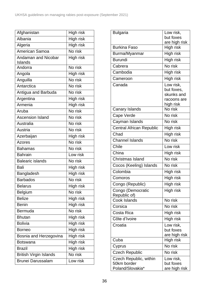| Afghanistan                           | High risk |
|---------------------------------------|-----------|
| Albania                               | High risk |
| Algeria                               | High risk |
| American Samoa                        | No risk   |
| <b>Andaman and Nicobar</b><br>Islands | High risk |
| Andorra                               | No risk   |
| Angola                                | High risk |
| Anguilla                              | No risk   |
| Antarctica                            | No risk   |
| Antigua and Barbuda                   | No risk   |
| Argentina                             | High risk |
| Armenia                               | High risk |
| Aruba                                 | No risk   |
| <b>Ascension Island</b>               | No risk   |
| Australia                             | No risk   |
| Austria                               | No risk   |
| Azerbaijan                            | High risk |
| <b>Azores</b>                         | No risk   |
| <b>Bahamas</b>                        | No risk   |
| <b>Bahrain</b>                        | Low risk  |
| <b>Balearic islands</b>               | No risk   |
| Bali                                  | High risk |
| Bangladesh                            | High risk |
| <b>Barbados</b>                       | No risk   |
| <b>Belarus</b>                        | High risk |
| <b>Belgium</b>                        | No risk   |
| <b>Belize</b>                         | High risk |
| <b>Benin</b>                          | High risk |
| Bermuda                               | No risk   |
| <b>Bhutan</b>                         | High risk |
| <b>Bolivia</b>                        | High risk |
| <b>Borneo</b>                         | High risk |
| Bosnia and Herzegovina                | High risk |
| <b>Botswana</b>                       | High risk |
| <b>Brazil</b>                         | High risk |
| <b>British Virgin Islands</b>         | No risk   |
| <b>Brunei Darussalam</b>              | Low risk  |

| <b>Bulgaria</b>                   | Low risk,            |
|-----------------------------------|----------------------|
|                                   | but foxes            |
|                                   | are high risk        |
| <b>Burkina Faso</b>               | High risk            |
| Burma/Myanmar                     | High risk            |
| <b>Burundi</b>                    | High risk            |
| Cabrera                           | No risk              |
| Cambodia                          | High risk            |
| Cameroon                          | High risk            |
| Canada                            | Low risk,            |
|                                   | but foxes,           |
|                                   | skunks and           |
|                                   | racoons are          |
| Canary Islands                    | high risk<br>No risk |
|                                   |                      |
| Cape Verde                        | No risk              |
| Cayman Islands                    | No risk              |
| <b>Central African Republic</b>   | High risk            |
| Chad                              | High risk            |
| <b>Channel Islands</b>            | No risk              |
| Chile                             | Low risk             |
| China                             | High risk            |
| Christmas Island                  | No risk              |
| Cocos (Keeling) Islands           | No risk              |
| Colombia                          | High risk            |
| Comoros                           | High risk            |
| Congo (Republic)                  | High risk            |
| Congo (Democratic<br>Republic of) | High risk            |
| Cook Islands                      | No risk              |
| Corsica                           | No risk              |
| Costa Rica                        | High risk            |
| Côte d'Ivoire                     | High risk            |
| Croatia                           | Low risk,            |
|                                   | but foxes            |
|                                   | are high risk        |
| Cuba                              | High risk            |
| Cyprus                            | No risk              |
| <b>Czech Republic</b>             | No risk              |
| Czech Republic, within            | Low risk,            |
| 50km border                       | but foxes            |
| Poland/Slovakia*                  | are high risk        |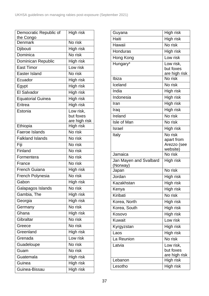| Democratic Republic of      | High risk                  |
|-----------------------------|----------------------------|
| the Congo<br><b>Denmark</b> | No risk                    |
| Djibouti                    | High risk                  |
| Dominica                    | No risk                    |
|                             |                            |
| Dominican Republic          | High risk                  |
| <b>East Timor</b>           | Low risk                   |
| <b>Easter Island</b>        | No risk                    |
| Ecuador                     | High risk                  |
| Egypt                       | High risk                  |
| <b>El Salvador</b>          | High risk                  |
| <b>Equatorial Guinea</b>    | High risk                  |
| Eritrea                     | High risk                  |
| Estonia                     | Low risk,                  |
|                             | but foxes                  |
| Ethiopia                    | are high risk<br>High risk |
| <b>Faeroe Islands</b>       | No risk                    |
| <b>Falkland Islands</b>     | No risk                    |
| Fiji                        | No risk                    |
| Finland                     | No risk                    |
| Formentera                  | No risk                    |
| France                      | No risk                    |
| <b>French Guiana</b>        |                            |
|                             | High risk<br>No risk       |
| French Polynesia            |                            |
| Gabon                       | High risk                  |
| Galapagos Islands           | No risk                    |
| Gambia, The                 | High risk                  |
| Georgia                     | High risk                  |
| Germany                     | No risk                    |
| Ghana                       | High risk                  |
| Gibraltar                   | No risk                    |
| Greece                      | No risk                    |
| Greenland                   | High risk                  |
| Grenada                     | Low risk                   |
| Guadeloupe                  | No risk                    |
| Guam                        | No risk                    |
| Guatemala                   | High risk                  |
| Guinea                      | High risk                  |
| Guinea-Bissau               | High risk                  |

| Guyana                             | High risk           |
|------------------------------------|---------------------|
| Haiti                              | High risk           |
| Hawaii                             | No risk             |
| Honduras                           | High risk           |
| Hong Kong                          | Low risk            |
| Hungary*                           | Low risk,           |
|                                    | but foxes           |
| Ibiza                              | are high risk       |
|                                    | No risk             |
| Iceland                            | No risk             |
| India                              | High risk           |
| <b>Indonesia</b>                   | High risk           |
| Iran                               | High risk           |
| Iraq                               | High risk           |
| Ireland                            | No risk             |
| Isle of Man                        | No risk             |
| <b>Israel</b>                      | High risk           |
| Italy                              | No risk             |
|                                    | apart from          |
|                                    | Arezzo (see         |
| Jamaica                            | website)<br>No risk |
|                                    |                     |
| Jan Mayen and Svalbard<br>(Norway) | High risk           |
| Japan                              | No risk             |
| Jordan                             | High risk           |
| Kazakhstan                         | High risk           |
| Kenya                              | High risk           |
| Kiribati                           | No risk             |
| Korea, North                       | High risk           |
| Korea, South                       | High risk           |
| Kosovo                             | High risk           |
| <b>Kuwait</b>                      | Low risk            |
| Kyrgyzstan                         | High risk           |
| Laos                               | High risk           |
| La Reunion                         | No risk             |
| Latvia                             | Low risk,           |
|                                    | but foxes           |
|                                    | are high risk       |
| Lebanon                            | High risk           |
| Lesotho                            | High risk           |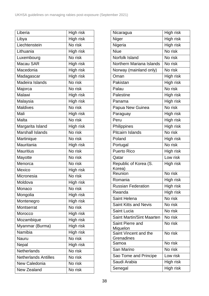| Liberia                     | High risk |
|-----------------------------|-----------|
| Libya                       | High risk |
| Liechtenstein               | No risk   |
| Lithuania                   | High risk |
| Luxembourg                  | No risk   |
| Macau SAR                   | High risk |
| Macedonia                   | High risk |
| Madagascar                  | High risk |
| Madeira Islands             | No risk   |
| Majorca                     | No risk   |
| Malawi                      | High risk |
| Malaysia                    | High risk |
| <b>Maldives</b>             | No risk   |
| Mali                        | High risk |
| Malta                       | No risk   |
| Margarita Island            | High risk |
| <b>Marshall Islands</b>     | No risk   |
| Martinique                  | No risk   |
| Mauritania                  | High risk |
| <b>Mauritius</b>            | No risk   |
| Mayotte                     | No risk   |
| Menorca                     | No risk   |
| Mexico                      | High risk |
| Micronesia                  | No risk   |
| Moldova                     | High risk |
| Monaco                      | No risk   |
| Mongolia                    | High risk |
| Montenegro                  | High risk |
| Montserrat                  | No risk   |
| Morocco                     | High risk |
| Mozambique                  | High risk |
| Myanmar (Burma)             | High risk |
| Namibia                     | High risk |
| Nauru                       | No risk   |
| Nepal                       | High risk |
| <b>Netherlands</b>          | No risk   |
| <b>Netherlands Antilles</b> | No risk   |
| New Caledonia               | No risk   |
| New Zealand                 | No risk   |

| Nicaragua                        | High risk |
|----------------------------------|-----------|
| Niger                            | High risk |
| Nigeria                          | High risk |
| <b>Niue</b>                      | No risk   |
| Norfolk Island                   | No risk   |
| Northern Mariana Islands         | No risk   |
| Norway (mainland only)           | No risk   |
| Oman                             | High risk |
| Pakistan                         | High risk |
| Palau                            | No risk   |
| Palestine                        | High risk |
| Panama                           | High risk |
| Papua New Guinea                 | No risk   |
| Paraguay                         | High risk |
| Peru                             | High risk |
| Philippines                      | High risk |
| <b>Pitcairn Islands</b>          | No risk   |
| Poland                           | High risk |
| Portugal                         | No risk   |
| <b>Puerto Rico</b>               | High risk |
| Qatar                            | Low risk  |
| Republic of Korea (S.<br>Korea)  | High risk |
| Reunion                          | No risk   |
| Romania                          | High risk |
| <b>Russian Federation</b>        | High risk |
| Rwanda                           | High risk |
| Saint Helena                     | No risk   |
| <b>Saint Kitts and Nevis</b>     | No risk   |
| <b>Saint Lucia</b>               | No risk   |
| <b>Saint Martin/Sint Maarten</b> | No risk   |
| Saint Pierre and<br>Miquelon     | No risk   |
| Saint Vincent and the            | No risk   |
| Grenadines                       | No risk   |
| Samoa<br>San Marino              | No risk   |
|                                  | Low risk  |
| Sao Tome and Principe            |           |
| Saudi Arabia                     | High risk |
| Senegal                          | High risk |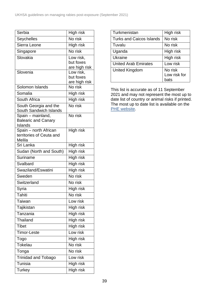| Serbia                           | High risk                  |
|----------------------------------|----------------------------|
| Seychelles                       | No risk                    |
| Sierra Leone                     | High risk                  |
| Singapore                        | No risk                    |
| Slovakia                         | Low risk,                  |
|                                  | but foxes                  |
|                                  | are high risk              |
| Slovenia                         | Low risk,                  |
|                                  | but foxes<br>are high risk |
| Solomon Islands                  | No risk                    |
| Somalia                          | High risk                  |
| South Africa                     | High risk                  |
| South Georgia and the            | No risk                    |
| South Sandwich Islands           |                            |
| Spain - mainland,                | No risk                    |
| <b>Balearic and Canary</b>       |                            |
| Islands<br>Spain - north African | High risk                  |
| territories of Ceuta and         |                            |
| Melila                           |                            |
| Sri Lanka                        | High risk                  |
| Sudan (North and South)          | High risk                  |
| Suriname                         | High risk                  |
| Svalbard                         | High risk                  |
| Swaziland/Eswatini               | High risk                  |
| Sweden                           | No risk                    |
| Switzerland                      | No risk                    |
| Syria                            | High risk                  |
| <b>Tahiti</b>                    | No risk                    |
| <b>Taiwan</b>                    | Low risk                   |
| Tajikistan                       | High risk                  |
| Tanzania                         | High risk                  |
| Thailand                         | High risk                  |
| <b>Tibet</b>                     | High risk                  |
| <b>Timor-Leste</b>               | Low risk                   |
| Togo                             | High risk                  |
| Tokelau                          | No risk                    |
| Tonga                            | No risk                    |
| <b>Trinidad and Tobago</b>       | Low risk                   |
| Tunisia                          | High risk                  |
| <b>Turkey</b>                    | High risk                  |

| Turkmenistan                    | High risk    |
|---------------------------------|--------------|
| <b>Turks and Caicos Islands</b> | No risk      |
| Tuvalu                          | No risk      |
| Uganda                          | High risk    |
| Ukraine                         | High risk    |
| <b>United Arab Emirates</b>     | Low risk     |
| <b>United Kingdom</b>           | No risk      |
|                                 | Low risk for |
|                                 | hats         |

This list is accurate as of 11 September 2021 and may not represent the most up to date list of country or animal risks if printed. The most up to date list is available on the **PHE** website.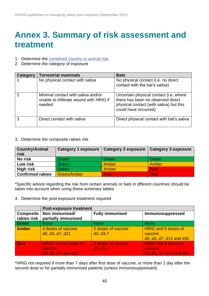## <span id="page-39-0"></span>**Annex 3. Summary of risk assessment and treatment**

- 1. Determine the [combined country or](https://www.gov.uk/government/publications/rabies-risks-by-country.) animal risk.
- 2. Determine the category of exposure

| Category | <b>Terrestrial mammals</b>                                                              | <b>Bats</b>                                                                                                                                    |
|----------|-----------------------------------------------------------------------------------------|------------------------------------------------------------------------------------------------------------------------------------------------|
|          | No physical contact with saliva                                                         | No physical contact (i.e. no direct<br>contact with the bat's saliva)                                                                          |
| 2        | Minimal contact with saliva and/or<br>unable to infiltrate wound with HRIG if<br>needed | Uncertain physical contact (i.e. where<br>there has been no observed direct<br>physical contact (with saliva) but this<br>could have occurred) |
| 3        | Direct contact with saliva                                                              | Direct physical contact with bat's saliva                                                                                                      |

3. Determine the composite rabies risk

| <b>Country/Animal</b><br>risk | <b>Category 1 exposure</b> | <b>Category 2 exposure</b> | <b>Category 3 exposure</b> |
|-------------------------------|----------------------------|----------------------------|----------------------------|
| <b>No risk</b>                | Green                      | Green                      | Green                      |
| Low risk                      | Green                      | Amber                      | Amber                      |
| <b>High risk</b>              | Green                      | Amber                      | <b>Red</b>                 |
| <b>Confirmed rabies</b>       | Green/Amber                | <b>Red</b>                 | <b>Red</b>                 |

\*Specific advice regarding the risk from certain animals or bats in dfferent countries should be taken into account when using these summary tables

4. Determine the post-exposure treatment required

|                                 | <b>Post-exposure treatment</b>                                                                                        |                                  |                                                                  |  |
|---------------------------------|-----------------------------------------------------------------------------------------------------------------------|----------------------------------|------------------------------------------------------------------|--|
| <b>Composite</b><br>rabies risk | Non immunised/<br>partially immunised                                                                                 | <b>Fully immunised</b>           | Immunosuppressed                                                 |  |
| Green                           | <b>None</b>                                                                                                           | <b>None</b>                      | <b>None</b>                                                      |  |
| <b>Amber</b>                    | 4 doses of vaccine<br>d <sub>0</sub> , d <sub>3</sub> , d <sub>7</sub> , d <sub>21</sub>                              | 2 doses of vaccine<br>$d0, d3-7$ | <b>HRIG and 5 doses of</b><br>vaccine<br>d0, d3, d7, d14 and d30 |  |
| <b>Red</b>                      | HRIG <sup>*</sup> and 4 doses of<br>vaccine<br>d <sub>0</sub> , d <sub>3</sub> , d <sub>7</sub> , and d <sub>21</sub> | 2 doses of vaccine<br>$d0, d3-7$ | <b>HRIG</b> and 5 doses of<br>vaccine<br>d0, d3, d7, d14 and d30 |  |

\*HRIG not required if more than 7 days after first dose of vaccine, or more than 1 day after the second dose or for partially immunised patients (unless immunosuppressed)